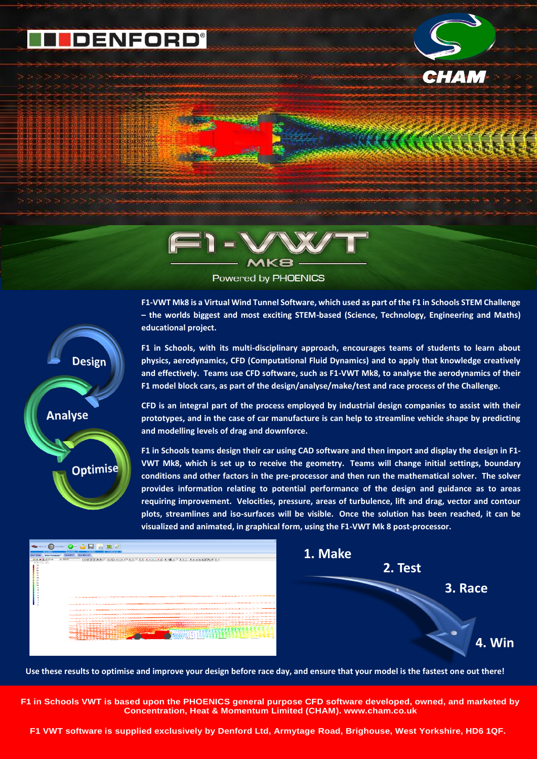## **F1 VWT MK8 release**

**Powered by PHOENICS**



AN ANTELECTRIC COMMUNIST



Powered by PHOENICS

**F1-VWT Mk8 is a Virtual Wind Tunnel Software, which used as part of the F1 in Schools STEM Challenge – the worlds biggest and most exciting STEM-based (Science, Technology, Engineering and Maths) educational project.**



**F1 in Schools, with its multi-disciplinary approach, encourages teams of students to learn about physics, aerodynamics, CFD (Computational Fluid Dynamics) and to apply that knowledge creatively and effectively. Teams use CFD software, such as F1-VWT Mk8, to analyse the aerodynamics of their F1 model block cars, as part of the design/analyse/make/test and race process of the Challenge.** 

**CFD is an integral part of the process employed by industrial design companies to assist with their prototypes, and in the case of car manufacture is can help to streamline vehicle shape by predicting and modelling levels of drag and downforce.**

**F1 in Schools teams design their car using CAD software and then import and display the design in F1- VWT Mk8, which is set up to receive the geometry. Teams will change initial settings, boundary conditions and other factors in the pre-processor and then run the mathematical solver. The solver provides information relating to potential performance of the design and guidance as to areas requiring improvement. Velocities, pressure, areas of turbulence, lift and drag, vector and contour plots, streamlines and iso-surfaces will be visible. Once the solution has been reached, it can be visualized and animated, in graphical form, using the F1-VWT Mk 8 post-processor.**



**Use these results to optimise and improve your design before race day, and ensure that your model is the fastest one out there!**

**F1 in Schools VWT is based upon the PHOENICS general purpose CFD software developed, owned, and marketed by Concentration, Heat & Momentum Limited (CHAM). [www.cham.co.uk](http://www.cham.co.uk/)**

**F1 VWT software is supplied exclusively by Denford Ltd, Armytage Road, Brighouse, West Yorkshire, HD6 1QF.**